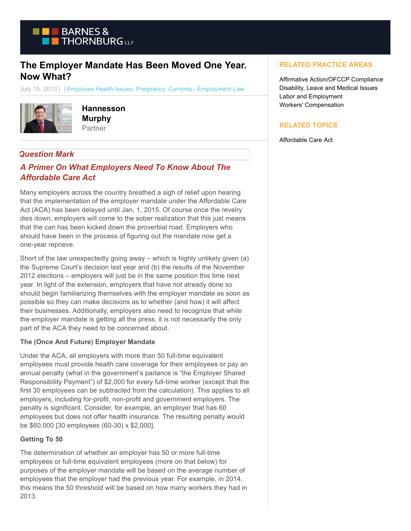

# **The Employer Mandate Has Been Moved One Year. Now What?**

July 15, 2013 | Employee Health Issues, Pregnancy, Currents - Employment Law



**Hannesson Murphy** Partner

## *Question Mark*

## *A Primer On What Employers Need To Know About The Affordable Care Act*

Many employers across the country breathed a sigh of relief upon hearing that the implementation of the employer mandate under the Affordable Care Act (ACA) has been delayed until Jan. 1, 2015. Of course once the revelry dies down, employers will come to the sober realization that this just means that the can has been kicked down the proverbial road. Employers who should have been in the process of figuring out the mandate now get a one-year reprieve.

Short of the law unexpectedly going away – which is highly unlikely given (a) the Supreme Court's decision last year and (b) the results of the November 2012 elections – employers will just be in the same position this time next year. In light of the extension, employers that have not already done so should begin familiarizing themselves with the employer mandate as soon as possible so they can make decisions as to whether (and how) it will affect their businesses. Additionally, employers also need to recognize that while the employer mandate is getting all the press, it is not necessarily the only part of the ACA they need to be concerned about.

## **The (Once And Future) Employer Mandate**

Under the ACA, all employers with more than 50 full-time equivalent employees must provide health care coverage for their employees or pay an annual penalty (what in the government's parlance is "the Employer Shared Responsibility Payment") of \$2,000 for every full-time worker (except that the first 30 employees can be subtracted from the calculation). This applies to all employers, including for-profit, non-profit and government employers. The penalty is significant. Consider, for example, an employer that has 60 employees but does not offer health insurance. The resulting penalty would be \$60,000 [30 employees (60-30) x \$2,000].

## **Getting To 50**

The determination of whether an employer has 50 or more full-time employees or full-time equivalent employees (more on that below) for purposes of the employer mandate will be based on the average number of employees that the employer had the previous year. For example, in 2014, this means the 50 threshold will be based on how many workers they had in 2013.

## **RELATED PRACTICE AREAS**

Affirmative Action/OFCCP Compliance Disability, Leave and Medical Issues Labor and Employment Workers' Compensation

## **RELATED TOPICS**

Affordable Care Act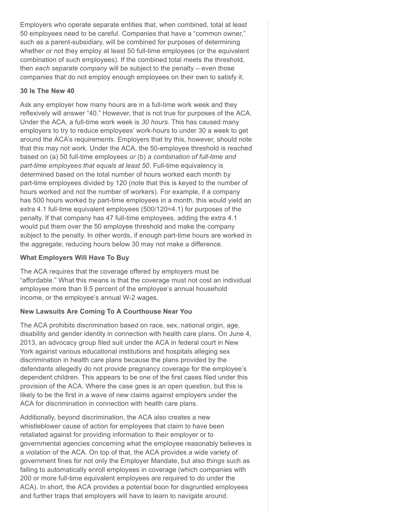Employers who operate separate entities that, when combined, total at least 50 employees need to be careful. Companies that have a "common owner," such as a parent-subsidiary, will be combined for purposes of determining whether or not they employ at least 50 full-time employees (or the equivalent combination of such employees). If the combined total meets the threshold, then *each separate company* will be subject to the penalty – even those companies that do not employ enough employees on their own to satisfy it.

#### **30 Is The New 40**

Ask any employer how many hours are in a full-time work week and they reflexively will answer "40." However, that is not true for purposes of the ACA. Under the ACA, a full-time work week is *30 hours*. This has caused many employers to try to reduce employees' work-hours to under 30 a week to get around the ACA's requirements. Employers that try this, however, should note that this may not work. Under the ACA, the 50-employee threshold is reached based on (a) 50 full-time employees *or* (b) *a combination of full-time and part-time employees that equals at least 50*. Full-time equivalency is determined based on the total number of hours worked each month by part-time employees divided by 120 (note that this is keyed to the number of hours worked and not the number of workers). For example, if a company has 500 hours worked by part-time employees in a month, this would yield an extra 4.1 full-time equivalent employees (500/120=4.1) for purposes of the penalty. If that company has 47 full-time employees, adding the extra 4.1 would put them over the 50 employee threshold and make the company subject to the penalty. In other words, if enough part-time hours are worked in the aggregate, reducing hours below 30 may not make a difference.

#### **What Employers Will Have To Buy**

The ACA requires that the coverage offered by employers must be "affordable." What this means is that the coverage must not cost an individual employee more than 9.5 percent of the employee's annual household income, or the employee's annual W-2 wages.

## **New Lawsuits Are Coming To A Courthouse Near You**

The ACA prohibits discrimination based on race, sex, national origin, age, disability and gender identity in connection with health care plans. On June 4, 2013, an advocacy group filed suit under the ACA in federal court in New York against various educational institutions and hospitals alleging sex discrimination in health care plans because the plans provided by the defendants allegedly do not provide pregnancy coverage for the employee's dependent children. This appears to be one of the first cases filed under this provision of the ACA. Where the case goes is an open question, but this is likely to be the first in a wave of new claims against employers under the ACA for discrimination in connection with health care plans.

Additionally, beyond discrimination, the ACA also creates a new whistleblower cause of action for employees that claim to have been retaliated against for providing information to their employer or to governmental agencies concerning what the employee reasonably believes is a violation of the ACA. On top of that, the ACA provides a wide variety of government fines for not only the Employer Mandate, but also things such as failing to automatically enroll employees in coverage (which companies with 200 or more full-time equivalent employees are required to do under the ACA). In short, the ACA provides a potential boon for disgruntled employees and further traps that employers will have to learn to navigate around.